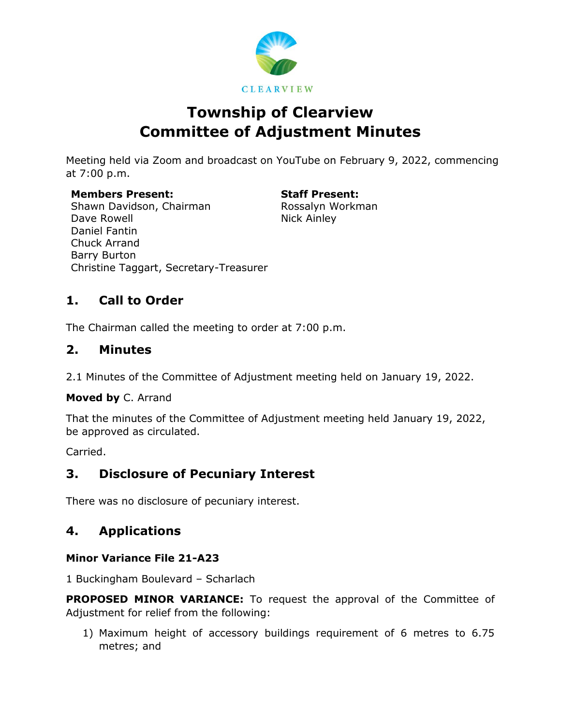

# **Township of Clearview Committee of Adjustment Minutes**

Meeting held via Zoom and broadcast on YouTube on February 9, 2022, commencing at 7:00 p.m.

**Members Present: Staff Present:** Shawn Davidson, Chairman Dave Rowell Daniel Fantin Chuck Arrand Barry Burton Christine Taggart, Secretary-Treasurer

Rossalyn Workman Nick Ainley

# **1. Call to Order**

The Chairman called the meeting to order at 7:00 p.m.

### **2. Minutes**

2.1 Minutes of the Committee of Adjustment meeting held on January 19, 2022.

**Moved by** C. Arrand

That the minutes of the Committee of Adjustment meeting held January 19, 2022, be approved as circulated.

Carried.

## **3. Disclosure of Pecuniary Interest**

There was no disclosure of pecuniary interest.

## **4. Applications**

### **Minor Variance File 21-A23**

1 Buckingham Boulevard – Scharlach

**PROPOSED MINOR VARIANCE:** To request the approval of the Committee of Adjustment for relief from the following:

1) Maximum height of accessory buildings requirement of 6 metres to 6.75 metres; and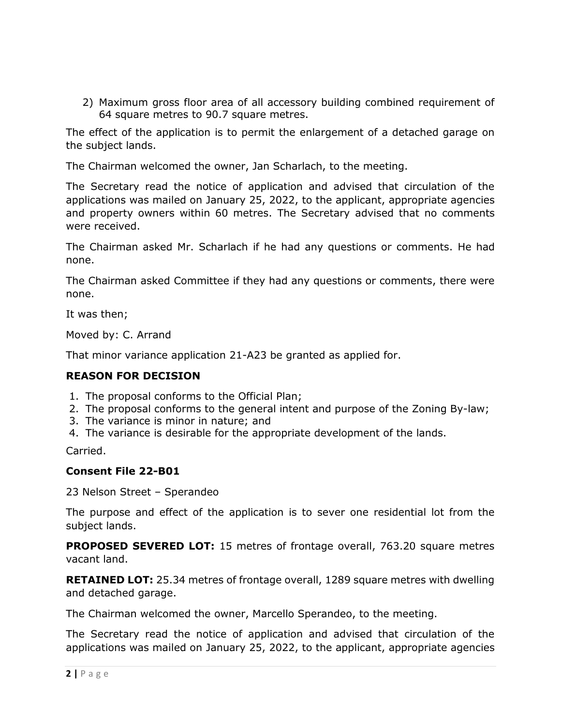2) Maximum gross floor area of all accessory building combined requirement of 64 square metres to 90.7 square metres.

The effect of the application is to permit the enlargement of a detached garage on the subject lands.

The Chairman welcomed the owner, Jan Scharlach, to the meeting.

The Secretary read the notice of application and advised that circulation of the applications was mailed on January 25, 2022, to the applicant, appropriate agencies and property owners within 60 metres. The Secretary advised that no comments were received.

The Chairman asked Mr. Scharlach if he had any questions or comments. He had none.

The Chairman asked Committee if they had any questions or comments, there were none.

It was then;

Moved by: C. Arrand

That minor variance application 21-A23 be granted as applied for.

#### **REASON FOR DECISION**

- 1. The proposal conforms to the Official Plan;
- 2. The proposal conforms to the general intent and purpose of the Zoning By-law;
- 3. The variance is minor in nature; and
- 4. The variance is desirable for the appropriate development of the lands.

Carried.

#### **Consent File 22-B01**

23 Nelson Street – Sperandeo

The purpose and effect of the application is to sever one residential lot from the subject lands.

**PROPOSED SEVERED LOT:** 15 metres of frontage overall, 763.20 square metres vacant land.

**RETAINED LOT:** 25.34 metres of frontage overall, 1289 square metres with dwelling and detached garage.

The Chairman welcomed the owner, Marcello Sperandeo, to the meeting.

The Secretary read the notice of application and advised that circulation of the applications was mailed on January 25, 2022, to the applicant, appropriate agencies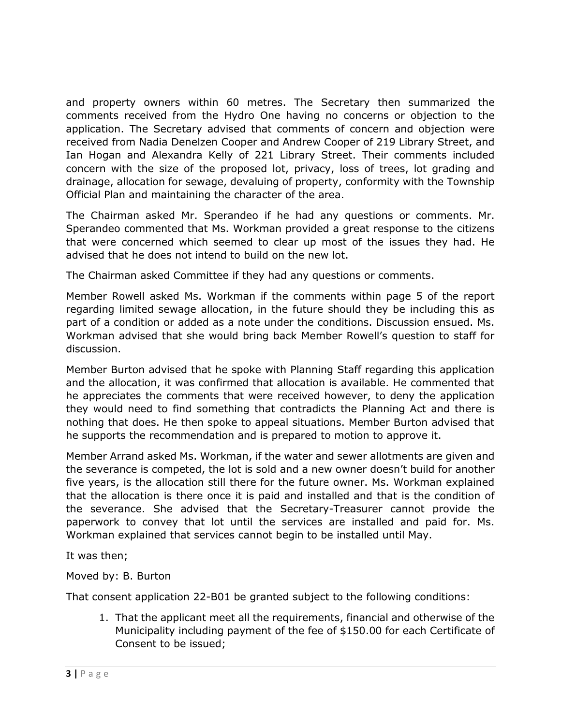and property owners within 60 metres. The Secretary then summarized the comments received from the Hydro One having no concerns or objection to the application. The Secretary advised that comments of concern and objection were received from Nadia Denelzen Cooper and Andrew Cooper of 219 Library Street, and Ian Hogan and Alexandra Kelly of 221 Library Street. Their comments included concern with the size of the proposed lot, privacy, loss of trees, lot grading and drainage, allocation for sewage, devaluing of property, conformity with the Township Official Plan and maintaining the character of the area.

The Chairman asked Mr. Sperandeo if he had any questions or comments. Mr. Sperandeo commented that Ms. Workman provided a great response to the citizens that were concerned which seemed to clear up most of the issues they had. He advised that he does not intend to build on the new lot.

The Chairman asked Committee if they had any questions or comments.

Member Rowell asked Ms. Workman if the comments within page 5 of the report regarding limited sewage allocation, in the future should they be including this as part of a condition or added as a note under the conditions. Discussion ensued. Ms. Workman advised that she would bring back Member Rowell's question to staff for discussion.

Member Burton advised that he spoke with Planning Staff regarding this application and the allocation, it was confirmed that allocation is available. He commented that he appreciates the comments that were received however, to deny the application they would need to find something that contradicts the Planning Act and there is nothing that does. He then spoke to appeal situations. Member Burton advised that he supports the recommendation and is prepared to motion to approve it.

Member Arrand asked Ms. Workman, if the water and sewer allotments are given and the severance is competed, the lot is sold and a new owner doesn't build for another five years, is the allocation still there for the future owner. Ms. Workman explained that the allocation is there once it is paid and installed and that is the condition of the severance. She advised that the Secretary-Treasurer cannot provide the paperwork to convey that lot until the services are installed and paid for. Ms. Workman explained that services cannot begin to be installed until May.

It was then;

Moved by: B. Burton

That consent application 22-B01 be granted subject to the following conditions:

1. That the applicant meet all the requirements, financial and otherwise of the Municipality including payment of the fee of \$150.00 for each Certificate of Consent to be issued;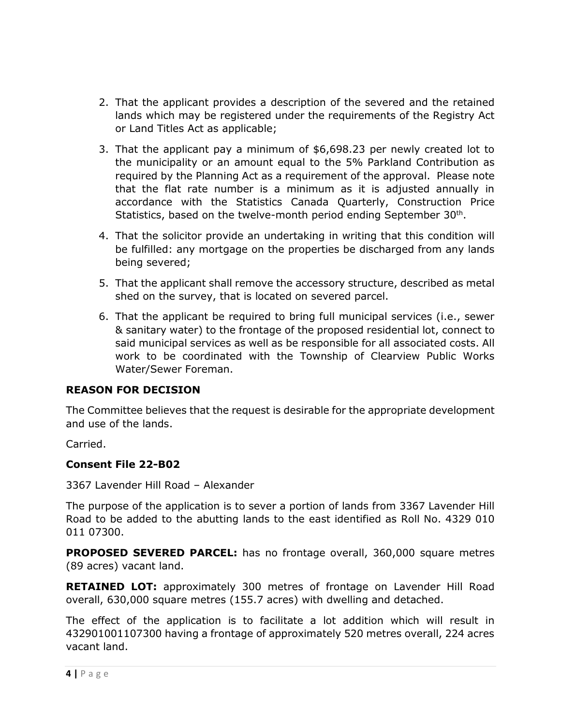- 2. That the applicant provides a description of the severed and the retained lands which may be registered under the requirements of the Registry Act or Land Titles Act as applicable;
- 3. That the applicant pay a minimum of \$6,698.23 per newly created lot to the municipality or an amount equal to the 5% Parkland Contribution as required by the Planning Act as a requirement of the approval. Please note that the flat rate number is a minimum as it is adjusted annually in accordance with the Statistics Canada Quarterly, Construction Price Statistics, based on the twelve-month period ending September 30<sup>th</sup>.
- 4. That the solicitor provide an undertaking in writing that this condition will be fulfilled: any mortgage on the properties be discharged from any lands being severed;
- 5. That the applicant shall remove the accessory structure, described as metal shed on the survey, that is located on severed parcel.
- 6. That the applicant be required to bring full municipal services (i.e., sewer & sanitary water) to the frontage of the proposed residential lot, connect to said municipal services as well as be responsible for all associated costs. All work to be coordinated with the Township of Clearview Public Works Water/Sewer Foreman.

#### **REASON FOR DECISION**

The Committee believes that the request is desirable for the appropriate development and use of the lands.

Carried.

### **Consent File 22-B02**

3367 Lavender Hill Road – Alexander

The purpose of the application is to sever a portion of lands from 3367 Lavender Hill Road to be added to the abutting lands to the east identified as Roll No. 4329 010 011 07300.

**PROPOSED SEVERED PARCEL:** has no frontage overall, 360,000 square metres (89 acres) vacant land.

**RETAINED LOT:** approximately 300 metres of frontage on Lavender Hill Road overall, 630,000 square metres (155.7 acres) with dwelling and detached.

The effect of the application is to facilitate a lot addition which will result in 432901001107300 having a frontage of approximately 520 metres overall, 224 acres vacant land.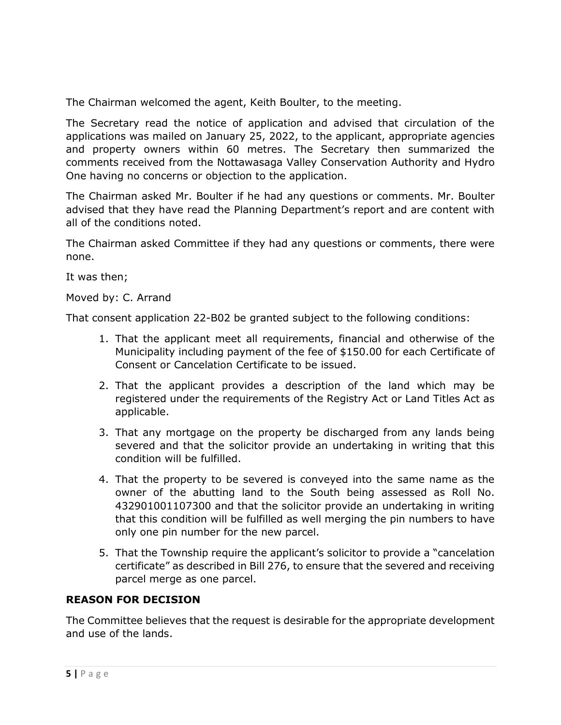The Chairman welcomed the agent, Keith Boulter, to the meeting.

The Secretary read the notice of application and advised that circulation of the applications was mailed on January 25, 2022, to the applicant, appropriate agencies and property owners within 60 metres. The Secretary then summarized the comments received from the Nottawasaga Valley Conservation Authority and Hydro One having no concerns or objection to the application.

The Chairman asked Mr. Boulter if he had any questions or comments. Mr. Boulter advised that they have read the Planning Department's report and are content with all of the conditions noted.

The Chairman asked Committee if they had any questions or comments, there were none.

It was then;

Moved by: C. Arrand

That consent application 22-B02 be granted subject to the following conditions:

- 1. That the applicant meet all requirements, financial and otherwise of the Municipality including payment of the fee of \$150.00 for each Certificate of Consent or Cancelation Certificate to be issued.
- 2. That the applicant provides a description of the land which may be registered under the requirements of the Registry Act or Land Titles Act as applicable.
- 3. That any mortgage on the property be discharged from any lands being severed and that the solicitor provide an undertaking in writing that this condition will be fulfilled.
- 4. That the property to be severed is conveyed into the same name as the owner of the abutting land to the South being assessed as Roll No. 432901001107300 and that the solicitor provide an undertaking in writing that this condition will be fulfilled as well merging the pin numbers to have only one pin number for the new parcel.
- 5. That the Township require the applicant's solicitor to provide a "cancelation certificate" as described in Bill 276, to ensure that the severed and receiving parcel merge as one parcel.

### **REASON FOR DECISION**

The Committee believes that the request is desirable for the appropriate development and use of the lands.